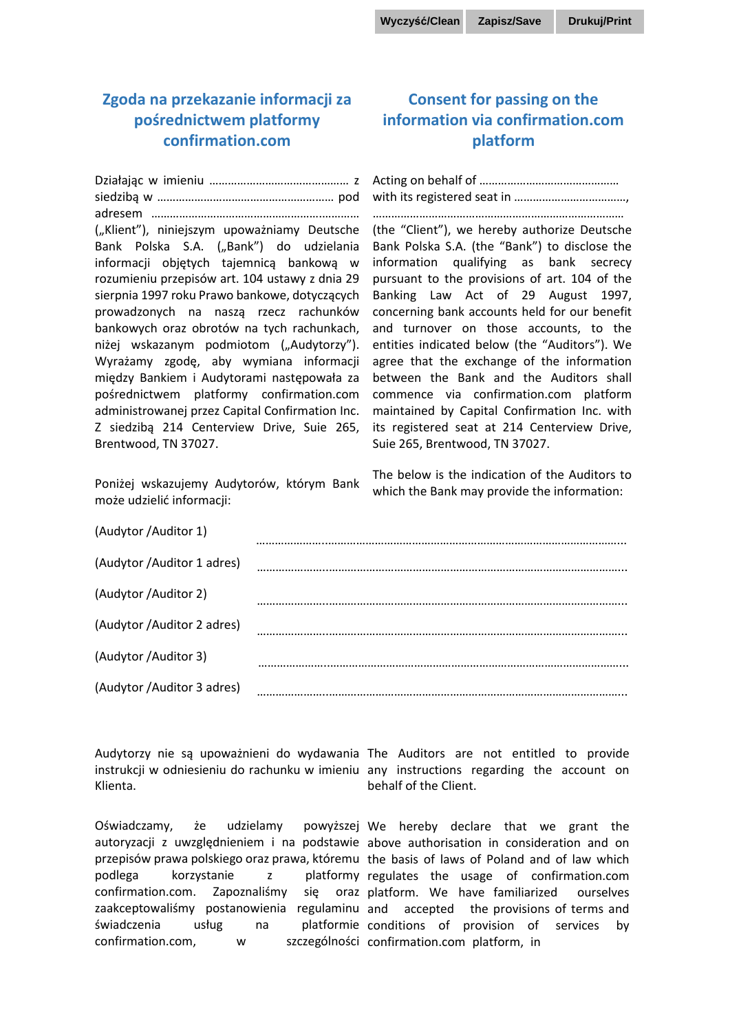## **Zgoda na przekazanie informacji za pośrednictwem platformy confirmation.com**

## **Consent for passing on the information via confirmation.com platform**

| ("Klient"), niniejszym upoważniamy Deutsche     | (the "Client"), we hereby authorize Deutsche  |
|-------------------------------------------------|-----------------------------------------------|
| Bank Polska S.A. ("Bank") do udzielania         | Bank Polska S.A. (the "Bank") to disclose the |
| informacji objętych tajemnicą bankową w         | information qualifying as bank secrecy        |
| rozumieniu przepisów art. 104 ustawy z dnia 29  | pursuant to the provisions of art. 104 of the |
| sierpnia 1997 roku Prawo bankowe, dotyczących   | Banking Law Act of 29 August 1997,            |
| prowadzonych na naszą rzecz rachunków           | concerning bank accounts held for our benefit |
| bankowych oraz obrotów na tych rachunkach,      | and turnover on those accounts, to the        |
| niżej wskazanym podmiotom ("Audytorzy").        | entities indicated below (the "Auditors"). We |
| Wyrażamy zgodę, aby wymiana informacji          | agree that the exchange of the information    |
| między Bankiem i Audytorami następowała za      | between the Bank and the Auditors shall       |
| pośrednictwem platformy confirmation.com        | commence via confirmation.com platform        |
| administrowanej przez Capital Confirmation Inc. | maintained by Capital Confirmation Inc. with  |
| Z siedzibą 214 Centerview Drive, Suie 265,      | its registered seat at 214 Centerview Drive,  |
| Brentwood, TN 37027.                            | Suie 265, Brentwood, TN 37027.                |
|                                                 |                                               |

Poniżej wskazujemy Audytorów, którym Bank może udzielić informacji:

The below is the indication of the Auditors to which the Bank may provide the information:

| (Audytor /Auditor 1)        |  |
|-----------------------------|--|
| (Audytor / Auditor 1 adres) |  |
| (Audytor /Auditor 2)        |  |
| (Audytor /Auditor 2 adres)  |  |
| (Audytor /Auditor 3)        |  |
| (Audytor /Auditor 3 adres)  |  |

Audytorzy nie są upoważnieni do wydawania The Auditors are not entitled to provide instrukcji w odniesieniu do rachunku w imieniu any instructions regarding the account on Klienta.

Oświadczamy, że udzielamy autoryzacji z uwzględnieniem i na podstawie above authorisation in consideration and on przepisów prawa polskiego oraz prawa, któremu the basis of laws of Poland and of law which podlega korzystanie z confirmation.com. Zapoznaliśmy zaakceptowaliśmy postanowienia regulaminu and accepted the provisions of terms and świadczenia usług na platformie conditions of provision of services by confirmation.com, w

behalf of the Client.

powyższej We hereby declare that we grant the platformy regulates the usage of confirmation.com sie oraz platform. We have familiarized ourselves szczególności confirmation.com platform, in